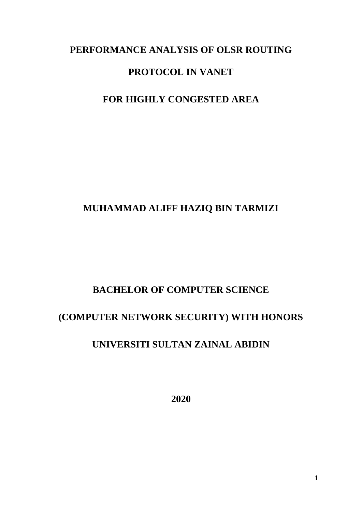### **PERFORMANCE ANALYSIS OF OLSR ROUTING**

## **PROTOCOL IN VANET**

# **FOR HIGHLY CONGESTED AREA**

# **MUHAMMAD ALIFF HAZIQ BIN TARMIZI**

## **BACHELOR OF COMPUTER SCIENCE**

## **(COMPUTER NETWORK SECURITY) WITH HONORS**

# **UNIVERSITI SULTAN ZAINAL ABIDIN**

**2020**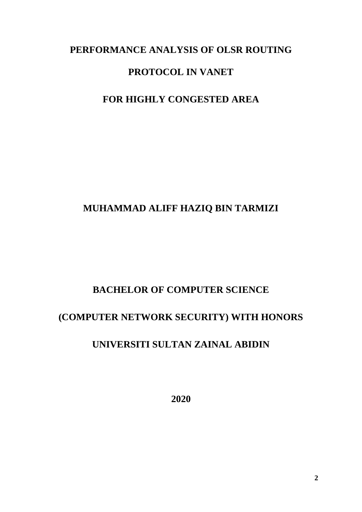### **PERFORMANCE ANALYSIS OF OLSR ROUTING**

## **PROTOCOL IN VANET**

# **FOR HIGHLY CONGESTED AREA**

## **MUHAMMAD ALIFF HAZIQ BIN TARMIZI**

## **BACHELOR OF COMPUTER SCIENCE**

## **(COMPUTER NETWORK SECURITY) WITH HONORS**

# **UNIVERSITI SULTAN ZAINAL ABIDIN**

**2020**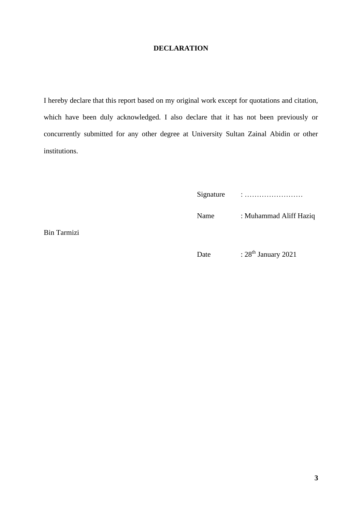#### **DECLARATION**

<span id="page-2-0"></span>I hereby declare that this report based on my original work except for quotations and citation, which have been duly acknowledged. I also declare that it has not been previously or concurrently submitted for any other degree at University Sultan Zainal Abidin or other institutions.

Signature : ……………………

Name : Muhammad Aliff Haziq

Bin Tarmizi

Date :  $28<sup>th</sup> January 2021$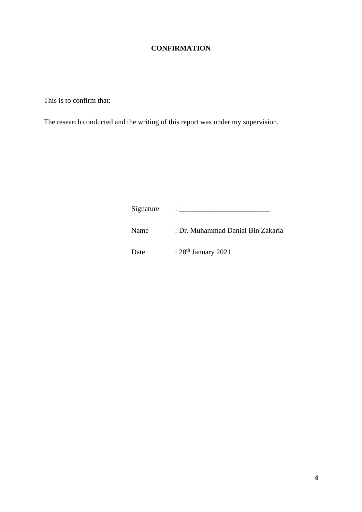### **CONFIRMATION**

<span id="page-3-0"></span>This is to confirm that:

The research conducted and the writing of this report was under my supervision.

Signature : \_\_\_\_\_\_\_\_\_\_\_\_\_\_\_\_\_\_\_\_\_\_\_\_\_

Name : Dr. Muhammad Danial Bin Zakaria

Date :  $28<sup>th</sup> January 2021$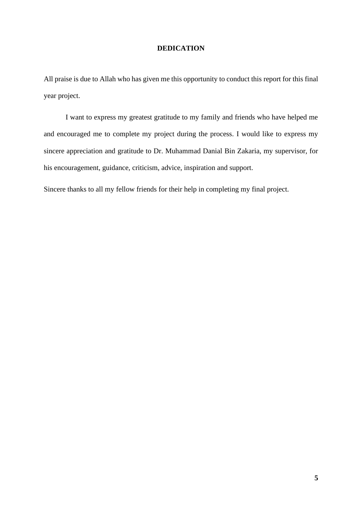#### **DEDICATION**

<span id="page-4-0"></span>All praise is due to Allah who has given me this opportunity to conduct this report for this final year project.

I want to express my greatest gratitude to my family and friends who have helped me and encouraged me to complete my project during the process. I would like to express my sincere appreciation and gratitude to Dr. Muhammad Danial Bin Zakaria, my supervisor, for his encouragement, guidance, criticism, advice, inspiration and support.

Sincere thanks to all my fellow friends for their help in completing my final project.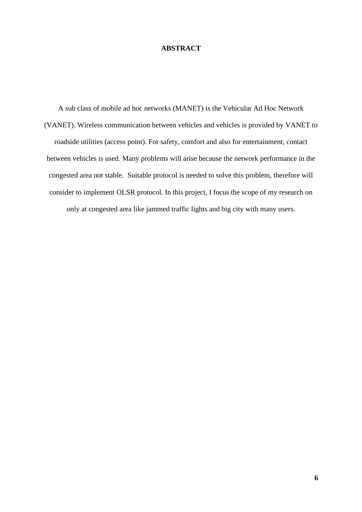#### **ABSTRACT**

<span id="page-5-0"></span>A sub class of mobile ad hoc networks (MANET) is the Vehicular Ad Hoc Network (VANET). Wireless communication between vehicles and vehicles is provided by VANET to roadside utilities (access point). For safety, comfort and also for entertainment, contact between vehicles is used. Many problems will arise because the network performance in the congested area not stable. Suitable protocol is needed to solve this problem, therefore will consider to implement OLSR protocol. In this project, I focus the scope of my research on only at congested area like jammed traffic lights and big city with many users.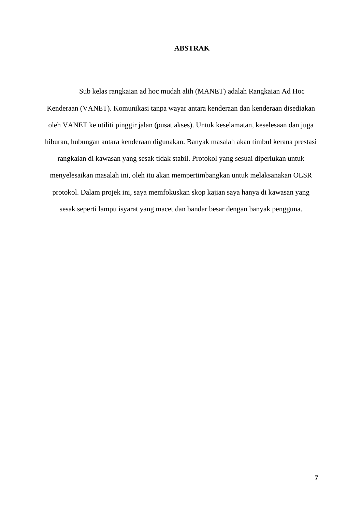#### **ABSTRAK**

Sub kelas rangkaian ad hoc mudah alih (MANET) adalah Rangkaian Ad Hoc Kenderaan (VANET). Komunikasi tanpa wayar antara kenderaan dan kenderaan disediakan oleh VANET ke utiliti pinggir jalan (pusat akses). Untuk keselamatan, keselesaan dan juga hiburan, hubungan antara kenderaan digunakan. Banyak masalah akan timbul kerana prestasi rangkaian di kawasan yang sesak tidak stabil. Protokol yang sesuai diperlukan untuk menyelesaikan masalah ini, oleh itu akan mempertimbangkan untuk melaksanakan OLSR protokol. Dalam projek ini, saya memfokuskan skop kajian saya hanya di kawasan yang sesak seperti lampu isyarat yang macet dan bandar besar dengan banyak pengguna.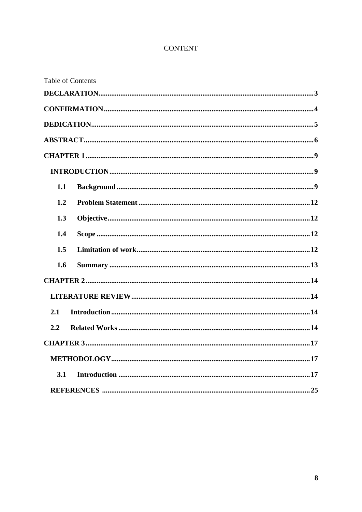### **CONTENT**

| <b>Table of Contents</b> |  |
|--------------------------|--|
|                          |  |
|                          |  |
|                          |  |
|                          |  |
|                          |  |
|                          |  |
| 1.1                      |  |
| 1.2                      |  |
| 1.3                      |  |
| 1.4                      |  |
| 1.5                      |  |
| 1.6                      |  |
|                          |  |
|                          |  |
| 2.1                      |  |
| 2.2                      |  |
|                          |  |
|                          |  |
| 3.1                      |  |
|                          |  |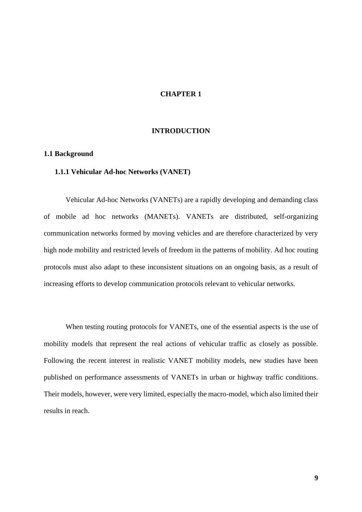#### **CHAPTER 1**

#### **INTRODUCTION**

#### <span id="page-8-3"></span><span id="page-8-2"></span><span id="page-8-1"></span><span id="page-8-0"></span>**1.1 Background**

#### **1.1.1 Vehicular Ad-hoc Networks (VANET)**

Vehicular Ad-hoc Networks (VANETs) are a rapidly developing and demanding class of mobile ad hoc networks (MANETs). VANETs are distributed, self-organizing communication networks formed by moving vehicles and are therefore characterized by very high node mobility and restricted levels of freedom in the patterns of mobility. Ad hoc routing protocols must also adapt to these inconsistent situations on an ongoing basis, as a result of increasing efforts to develop communication protocols relevant to vehicular networks.

When testing routing protocols for VANETs, one of the essential aspects is the use of mobility models that represent the real actions of vehicular traffic as closely as possible. Following the recent interest in realistic VANET mobility models, new studies have been published on performance assessments of VANETs in urban or highway traffic conditions. Their models, however, were very limited, especially the macro-model, which also limited their results in reach.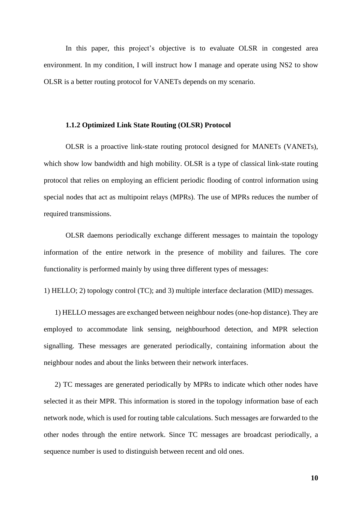In this paper, this project's objective is to evaluate OLSR in congested area environment. In my condition, I will instruct how I manage and operate using NS2 to show OLSR is a better routing protocol for VANETs depends on my scenario.

#### **1.1.2 Optimized Link State Routing (OLSR) Protocol**

OLSR is a proactive link-state routing protocol designed for MANETs (VANETs), which show low bandwidth and high mobility. OLSR is a type of classical link-state routing protocol that relies on employing an efficient periodic flooding of control information using special nodes that act as multipoint relays (MPRs). The use of MPRs reduces the number of required transmissions.

OLSR daemons periodically exchange different messages to maintain the topology information of the entire network in the presence of mobility and failures. The core functionality is performed mainly by using three different types of messages:

1) HELLO; 2) topology control (TC); and 3) multiple interface declaration (MID) messages.

1) HELLO messages are exchanged between neighbour nodes (one-hop distance). They are employed to accommodate link sensing, neighbourhood detection, and MPR selection signalling. These messages are generated periodically, containing information about the neighbour nodes and about the links between their network interfaces.

2) TC messages are generated periodically by MPRs to indicate which other nodes have selected it as their MPR. This information is stored in the topology information base of each network node, which is used for routing table calculations. Such messages are forwarded to the other nodes through the entire network. Since TC messages are broadcast periodically, a sequence number is used to distinguish between recent and old ones.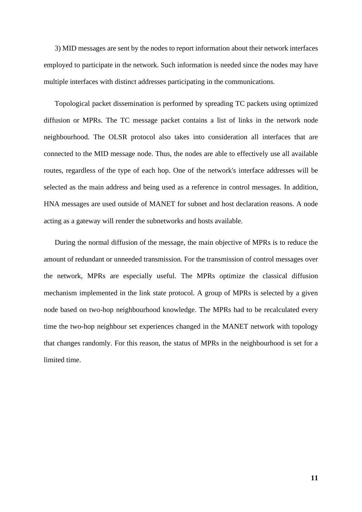3) MID messages are sent by the nodes to report information about their network interfaces employed to participate in the network. Such information is needed since the nodes may have multiple interfaces with distinct addresses participating in the communications.

Topological packet dissemination is performed by spreading TC packets using optimized diffusion or MPRs. The TC message packet contains a list of links in the network node neighbourhood. The OLSR protocol also takes into consideration all interfaces that are connected to the MID message node. Thus, the nodes are able to effectively use all available routes, regardless of the type of each hop. One of the network's interface addresses will be selected as the main address and being used as a reference in control messages. In addition, HNA messages are used outside of MANET for subnet and host declaration reasons. A node acting as a gateway will render the subnetworks and hosts available.

During the normal diffusion of the message, the main objective of MPRs is to reduce the amount of redundant or unneeded transmission. For the transmission of control messages over the network, MPRs are especially useful. The MPRs optimize the classical diffusion mechanism implemented in the link state protocol. A group of MPRs is selected by a given node based on two-hop neighbourhood knowledge. The MPRs had to be recalculated every time the two-hop neighbour set experiences changed in the MANET network with topology that changes randomly. For this reason, the status of MPRs in the neighbourhood is set for a limited time.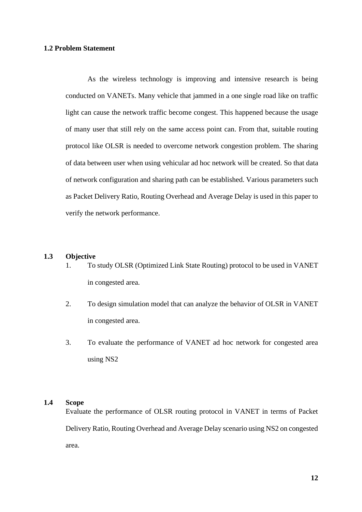#### <span id="page-11-0"></span>**1.2 Problem Statement**

As the wireless technology is improving and intensive research is being conducted on VANETs. Many vehicle that jammed in a one single road like on traffic light can cause the network traffic become congest. This happened because the usage of many user that still rely on the same access point can. From that, suitable routing protocol like OLSR is needed to overcome network congestion problem. The sharing of data between user when using vehicular ad hoc network will be created. So that data of network configuration and sharing path can be established. Various parameters such as Packet Delivery Ratio, Routing Overhead and Average Delay is used in this paper to verify the network performance.

#### <span id="page-11-1"></span>**1.3 Objective**

- 1. To study OLSR (Optimized Link State Routing) protocol to be used in VANET in congested area.
- 2. To design simulation model that can analyze the behavior of OLSR in VANET in congested area.
- 3. To evaluate the performance of VANET ad hoc network for congested area using NS2

#### <span id="page-11-2"></span>**1.4 Scope**

Evaluate the performance of OLSR routing protocol in VANET in terms of Packet Delivery Ratio, Routing Overhead and Average Delay scenario using NS2 on congested area.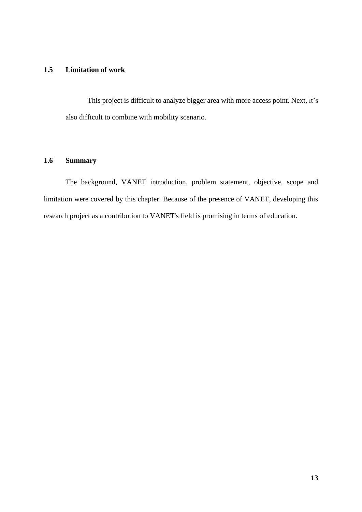#### <span id="page-12-0"></span>**1.5 Limitation of work**

This project is difficult to analyze bigger area with more access point. Next, it's also difficult to combine with mobility scenario.

#### **1.6 Summary**

The background, VANET introduction, problem statement, objective, scope and limitation were covered by this chapter. Because of the presence of VANET, developing this research project as a contribution to VANET's field is promising in terms of education.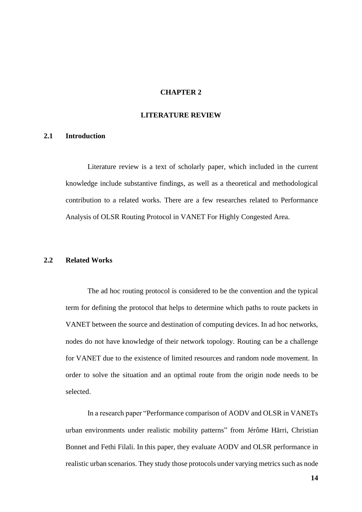#### **CHAPTER 2**

#### **LITERATURE REVIEW**

#### <span id="page-13-2"></span><span id="page-13-1"></span><span id="page-13-0"></span>**2.1 Introduction**

Literature review is a text of scholarly paper, which included in the current knowledge include substantive findings, as well as a theoretical and methodological contribution to a related works. There are a few researches related to Performance Analysis of OLSR Routing Protocol in VANET For Highly Congested Area.

#### <span id="page-13-3"></span>**2.2 Related Works**

The ad hoc routing protocol is considered to be the convention and the typical term for defining the protocol that helps to determine which paths to route packets in VANET between the source and destination of computing devices. In ad hoc networks, nodes do not have knowledge of their network topology. Routing can be a challenge for VANET due to the existence of limited resources and random node movement. In order to solve the situation and an optimal route from the origin node needs to be selected.

In a research paper "Performance comparison of AODV and OLSR in VANETs urban environments under realistic mobility patterns" from Jérôme Härri, Christian Bonnet and Fethi Filali. In this paper, they evaluate AODV and OLSR performance in realistic urban scenarios. They study those protocols under varying metrics such as node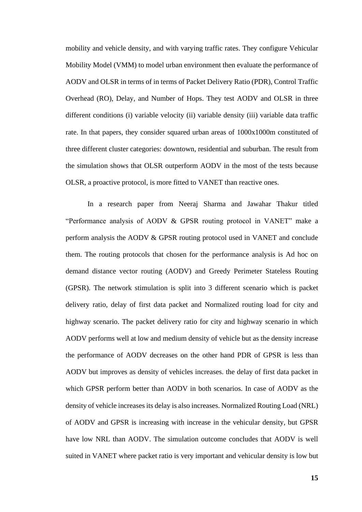mobility and vehicle density, and with varying traffic rates. They configure Vehicular Mobility Model (VMM) to model urban environment then evaluate the performance of AODV and OLSR in terms of in terms of Packet Delivery Ratio (PDR), Control Traffic Overhead (RO), Delay, and Number of Hops. They test AODV and OLSR in three different conditions (i) variable velocity (ii) variable density (iii) variable data traffic rate. In that papers, they consider squared urban areas of 1000x1000m constituted of three different cluster categories: downtown, residential and suburban. The result from the simulation shows that OLSR outperform AODV in the most of the tests because OLSR, a proactive protocol, is more fitted to VANET than reactive ones.

In a research paper from Neeraj Sharma and Jawahar Thakur titled "Performance analysis of AODV & GPSR routing protocol in VANET" make a perform analysis the AODV & GPSR routing protocol used in VANET and conclude them. The routing protocols that chosen for the performance analysis is Ad hoc on demand distance vector routing (AODV) and Greedy Perimeter Stateless Routing (GPSR). The network stimulation is split into 3 different scenario which is packet delivery ratio, delay of first data packet and Normalized routing load for city and highway scenario. The packet delivery ratio for city and highway scenario in which AODV performs well at low and medium density of vehicle but as the density increase the performance of AODV decreases on the other hand PDR of GPSR is less than AODV but improves as density of vehicles increases. the delay of first data packet in which GPSR perform better than AODV in both scenarios. In case of AODV as the density of vehicle increases its delay is also increases. Normalized Routing Load (NRL) of AODV and GPSR is increasing with increase in the vehicular density, but GPSR have low NRL than AODV. The simulation outcome concludes that AODV is well suited in VANET where packet ratio is very important and vehicular density is low but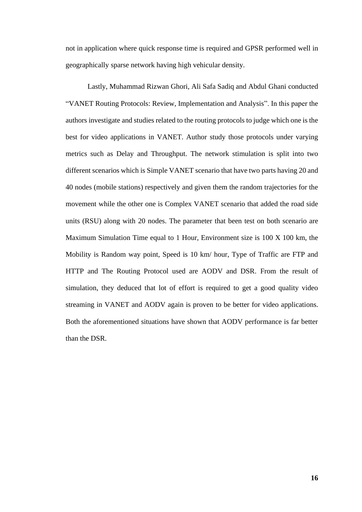not in application where quick response time is required and GPSR performed well in geographically sparse network having high vehicular density.

Lastly, Muhammad Rizwan Ghori, Ali Safa Sadiq and Abdul Ghani conducted "VANET Routing Protocols: Review, Implementation and Analysis". In this paper the authors investigate and studies related to the routing protocols to judge which one is the best for video applications in VANET. Author study those protocols under varying metrics such as Delay and Throughput. The network stimulation is split into two different scenarios which is Simple VANET scenario that have two parts having 20 and 40 nodes (mobile stations) respectively and given them the random trajectories for the movement while the other one is Complex VANET scenario that added the road side units (RSU) along with 20 nodes. The parameter that been test on both scenario are Maximum Simulation Time equal to 1 Hour, Environment size is 100 X 100 km, the Mobility is Random way point, Speed is 10 km/ hour, Type of Traffic are FTP and HTTP and The Routing Protocol used are AODV and DSR. From the result of simulation, they deduced that lot of effort is required to get a good quality video streaming in VANET and AODV again is proven to be better for video applications. Both the aforementioned situations have shown that AODV performance is far better than the DSR.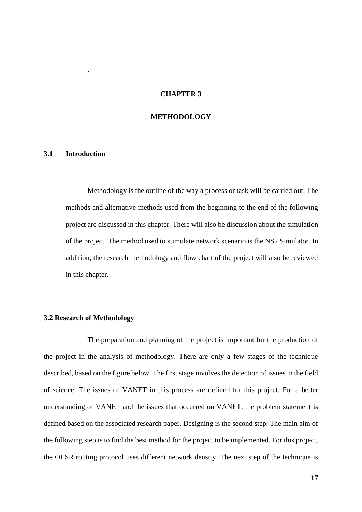#### **CHAPTER 3**

#### **METHODOLOGY**

#### <span id="page-16-2"></span><span id="page-16-1"></span>**3.1 Introduction**

<span id="page-16-0"></span>.

Methodology is the outline of the way a process or task will be carried out. The methods and alternative methods used from the beginning to the end of the following project are discussed in this chapter. There will also be discussion about the simulation of the project. The method used to stimulate network scenario is the NS2 Simulator. In addition, the research methodology and flow chart of the project will also be reviewed in this chapter.

#### **3.2 Research of Methodology**

The preparation and planning of the project is important for the production of the project in the analysis of methodology. There are only a few stages of the technique described, based on the figure below. The first stage involves the detection of issues in the field of science. The issues of VANET in this process are defined for this project. For a better understanding of VANET and the issues that occurred on VANET, the problem statement is defined based on the associated research paper. Designing is the second step. The main aim of the following step is to find the best method for the project to be implemented. For this project, the OLSR routing protocol uses different network density. The next step of the technique is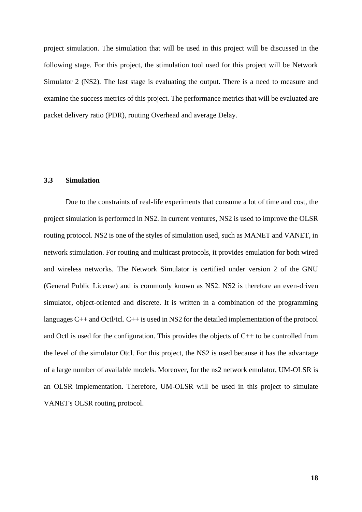project simulation. The simulation that will be used in this project will be discussed in the following stage. For this project, the stimulation tool used for this project will be Network Simulator 2 (NS2). The last stage is evaluating the output. There is a need to measure and examine the success metrics of this project. The performance metrics that will be evaluated are packet delivery ratio (PDR), routing Overhead and average Delay.

#### **3.3 Simulation**

Due to the constraints of real-life experiments that consume a lot of time and cost, the project simulation is performed in NS2. In current ventures, NS2 is used to improve the OLSR routing protocol. NS2 is one of the styles of simulation used, such as MANET and VANET, in network stimulation. For routing and multicast protocols, it provides emulation for both wired and wireless networks. The Network Simulator is certified under version 2 of the GNU (General Public License) and is commonly known as NS2. NS2 is therefore an even-driven simulator, object-oriented and discrete. It is written in a combination of the programming languages C++ and Octl/tcl. C++ is used in NS2 for the detailed implementation of the protocol and Octl is used for the configuration. This provides the objects of C++ to be controlled from the level of the simulator Otcl. For this project, the NS2 is used because it has the advantage of a large number of available models. Moreover, for the ns2 network emulator, UM-OLSR is an OLSR implementation. Therefore, UM-OLSR will be used in this project to simulate VANET's OLSR routing protocol.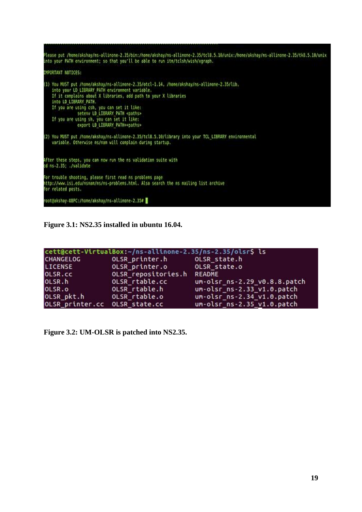| Please put /home/akshay/ns-allinone-2.35/bin:/home/akshay/ns-allinone-2.35/tcl8.5.10/unix:/home/akshay/ns-allinone-2.35/tk8.5.10/unix<br>into your PATH environment; so that you'll be able to run itm/tclsh/wish/xgraph.                                                                                                                                                                                                                                                                                                                                                                          |  |
|----------------------------------------------------------------------------------------------------------------------------------------------------------------------------------------------------------------------------------------------------------------------------------------------------------------------------------------------------------------------------------------------------------------------------------------------------------------------------------------------------------------------------------------------------------------------------------------------------|--|
| IMPORTANT NOTICES:                                                                                                                                                                                                                                                                                                                                                                                                                                                                                                                                                                                 |  |
| (1) You MUST put /home/akshay/ns-allinone-2.35/otcl-1.14, /home/akshay/ns-allinone-2.35/lib,<br>into your LD LIBRARY PATH environment variable.<br>If it complains about X libraries, add path to your X libraries<br>into LD LIBRARY PATH.<br>If you are using csh, you can set it like:<br>seteny LD LIBRARY PATH <paths><br/>If you are using sh, you can set it like:<br/>export LD LIBRARY PATH=<paths><br/>(2) You MUST put /home/akshay/ns-allinone-2.35/tcl8.5.10/library into your TCL LIBRARY environmental<br/>variable. Otherwise ns/nam will complain during startup.</paths></paths> |  |
| After these steps, you can now run the ns validation suite with<br>cd ns 2.35; ./validate                                                                                                                                                                                                                                                                                                                                                                                                                                                                                                          |  |
| For trouble shooting, please first read ns problems page<br>http://www.isi.edu/nsnam/ns/ns-problems.html. Also search the ns mailing list archive<br>for related posts.                                                                                                                                                                                                                                                                                                                                                                                                                            |  |
| root@akshay.UBPC:/home/akshay/ns-allinone-2.35#                                                                                                                                                                                                                                                                                                                                                                                                                                                                                                                                                    |  |

**Figure 3.1: NS2.35 installed in ubuntu 16.04.**

|                  | cett@cett-VirtualBox:~/ns-allinone-2.35/ns-2.35/olsr\$ ls |                              |
|------------------|-----------------------------------------------------------|------------------------------|
| <b>CHANGELOG</b> | OLSR printer.h OLSR state.h                               |                              |
| LICENSE          | OLSR printer.o                                            | OLSR state.o                 |
| OLSR.cc          | OLSR repositories.h                                       | README                       |
| OLSR.h           | OLSR rtable.cc                                            | um-olsr ns-2.29 v0.8.8.patch |
| OLSR.o           | OLSR rtable.h                                             | um-olsr_ns-2.33_v1.0.patch   |
| OLSR pkt.h       | OLSR rtable.o                                             | um-olsr_ns-2.34_v1.0.patch   |
| OLSR printer.cc  | OLSR state.cc                                             | um-olsr_ns-2.35_v1.0.patch   |

**Figure 3.2: UM-OLSR is patched into NS2.35.**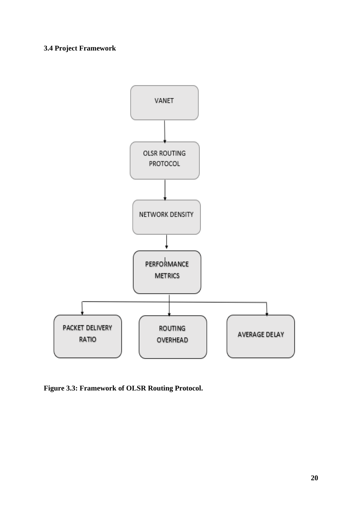### **3.4 Project Framework**



**Figure 3.3: Framework of OLSR Routing Protocol.**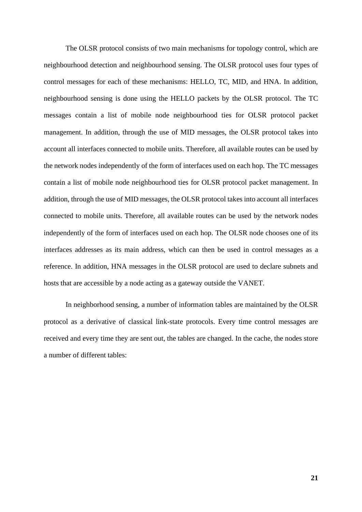The OLSR protocol consists of two main mechanisms for topology control, which are neighbourhood detection and neighbourhood sensing. The OLSR protocol uses four types of control messages for each of these mechanisms: HELLO, TC, MID, and HNA. In addition, neighbourhood sensing is done using the HELLO packets by the OLSR protocol. The TC messages contain a list of mobile node neighbourhood ties for OLSR protocol packet management. In addition, through the use of MID messages, the OLSR protocol takes into account all interfaces connected to mobile units. Therefore, all available routes can be used by the network nodes independently of the form of interfaces used on each hop. The TC messages contain a list of mobile node neighbourhood ties for OLSR protocol packet management. In addition, through the use of MID messages, the OLSR protocol takes into account all interfaces connected to mobile units. Therefore, all available routes can be used by the network nodes independently of the form of interfaces used on each hop. The OLSR node chooses one of its interfaces addresses as its main address, which can then be used in control messages as a reference. In addition, HNA messages in the OLSR protocol are used to declare subnets and hosts that are accessible by a node acting as a gateway outside the VANET.

In neighborhood sensing, a number of information tables are maintained by the OLSR protocol as a derivative of classical link-state protocols. Every time control messages are received and every time they are sent out, the tables are changed. In the cache, the nodes store a number of different tables: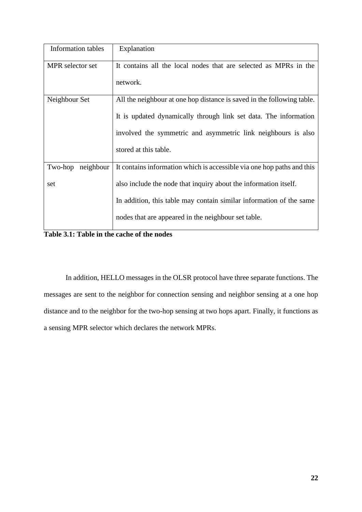| <b>Information</b> tables | Explanation                                                            |
|---------------------------|------------------------------------------------------------------------|
| MPR selector set          | It contains all the local nodes that are selected as MPRs in the       |
|                           | network.                                                               |
| Neighbour Set             | All the neighbour at one hop distance is saved in the following table. |
|                           | It is updated dynamically through link set data. The information       |
|                           | involved the symmetric and asymmetric link neighbours is also          |
|                           | stored at this table.                                                  |
| Two-hop<br>neighbour      | It contains information which is accessible via one hop paths and this |
| set                       | also include the node that inquiry about the information itself.       |
|                           | In addition, this table may contain similar information of the same    |
|                           | nodes that are appeared in the neighbour set table.                    |

**Table 3.1: Table in the cache of the nodes**

In addition, HELLO messages in the OLSR protocol have three separate functions. The messages are sent to the neighbor for connection sensing and neighbor sensing at a one hop distance and to the neighbor for the two-hop sensing at two hops apart. Finally, it functions as a sensing MPR selector which declares the network MPRs.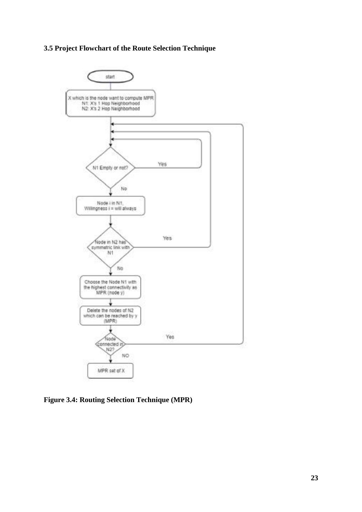### **3.5 Project Flowchart of the Route Selection Technique**



**Figure 3.4: Routing Selection Technique (MPR)**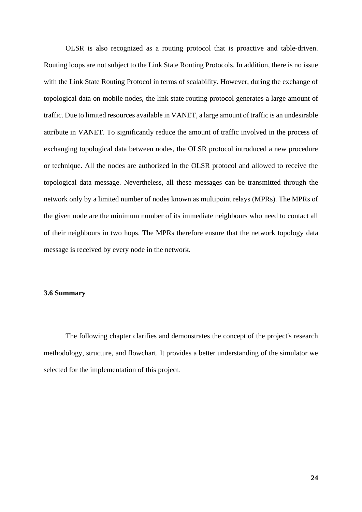OLSR is also recognized as a routing protocol that is proactive and table-driven. Routing loops are not subject to the Link State Routing Protocols. In addition, there is no issue with the Link State Routing Protocol in terms of scalability. However, during the exchange of topological data on mobile nodes, the link state routing protocol generates a large amount of traffic. Due to limited resources available in VANET, a large amount of traffic is an undesirable attribute in VANET. To significantly reduce the amount of traffic involved in the process of exchanging topological data between nodes, the OLSR protocol introduced a new procedure or technique. All the nodes are authorized in the OLSR protocol and allowed to receive the topological data message. Nevertheless, all these messages can be transmitted through the network only by a limited number of nodes known as multipoint relays (MPRs). The MPRs of the given node are the minimum number of its immediate neighbours who need to contact all of their neighbours in two hops. The MPRs therefore ensure that the network topology data message is received by every node in the network.

#### **3.6 Summary**

The following chapter clarifies and demonstrates the concept of the project's research methodology, structure, and flowchart. It provides a better understanding of the simulator we selected for the implementation of this project.